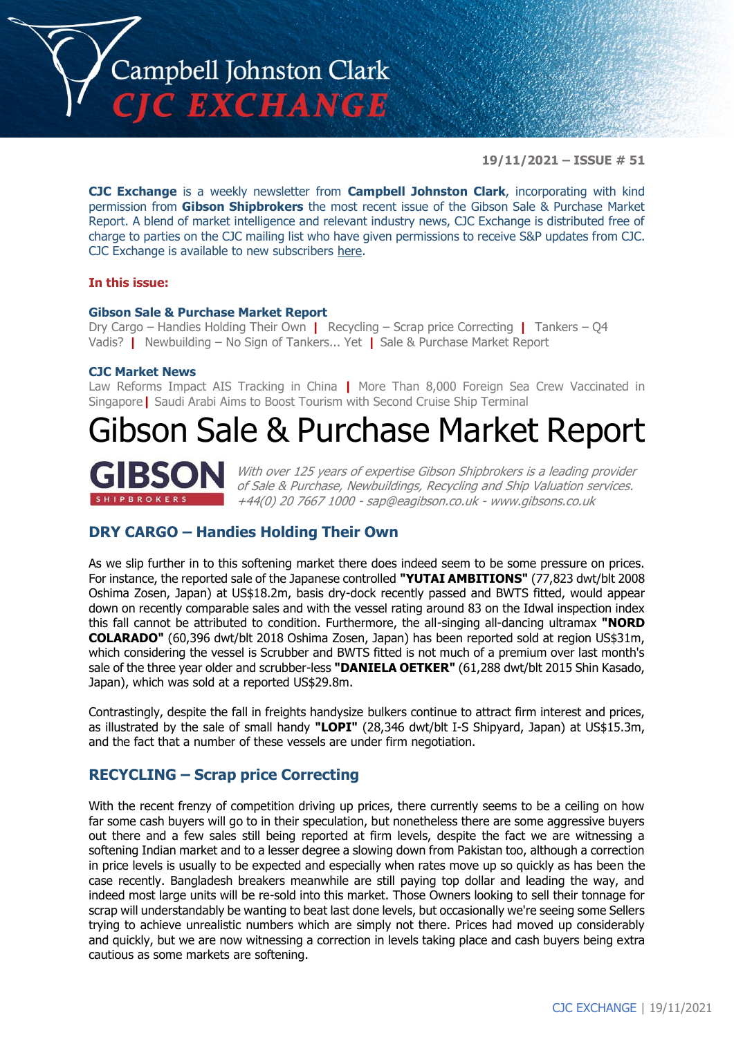

**19/11/2021 – ISSUE # 51**

**CJC Exchange** is a weekly newsletter from **Campbell Johnston Clark**, incorporating with kind permission from **Gibson Shipbrokers** the most recent issue of the Gibson Sale & Purchase Market Report. A blend of market intelligence and relevant industry news, CJC Exchange is distributed free of charge to parties on the CJC mailing list who have given permissions to receive S&P updates from CJC. CJC Exchange is available to new subscribers [here.](mailto:jamesc@cjclaw.com?subject=CJC%20Exchange%20sign-up)

### **In this issue:**

#### **Gibson Sale & Purchase Market Report**

Dry Cargo – Handies Holding Their Own **|** Recycling – Scrap price Correcting **|** Tankers – Q4 Vadis? **|** Newbuilding – No Sign of Tankers... Yet **|** Sale & Purchase Market Report

#### **CJC Market News**

Law Reforms Impact AIS Tracking in China **|** More Than 8,000 Foreign Sea Crew Vaccinated in Singapore**|** Saudi Arabi Aims to Boost Tourism with Second Cruise Ship Terminal

## Gibson Sale & Purchase Market Report



With over 125 years of expertise Gibson Shipbrokers is a leading provider of Sale & Purchase, Newbuildings, Recycling and Ship Valuation services. +44(0) 20 7667 1000 - [sap@eagibson.co.uk](mailto:sap@eagibson.co.uk) - [www.gibsons.co.uk](https://protect-eu.mimecast.com/s/VO6nCGZzRS60KqcK1jQh/)

## **DRY CARGO – Handies Holding Their Own**

As we slip further in to this softening market there does indeed seem to be some pressure on prices. For instance, the reported sale of the Japanese controlled **"YUTAI AMBITIONS"** (77,823 dwt/blt 2008 Oshima Zosen, Japan) at US\$18.2m, basis dry-dock recently passed and BWTS fitted, would appear down on recently comparable sales and with the vessel rating around 83 on the Idwal inspection index this fall cannot be attributed to condition. Furthermore, the all-singing all-dancing ultramax **"NORD COLARADO"** (60,396 dwt/blt 2018 Oshima Zosen, Japan) has been reported sold at region US\$31m, which considering the vessel is Scrubber and BWTS fitted is not much of a premium over last month's sale of the three year older and scrubber-less **"DANIELA OETKER"** (61,288 dwt/blt 2015 Shin Kasado, Japan), which was sold at a reported US\$29.8m.

Contrastingly, despite the fall in freights handysize bulkers continue to attract firm interest and prices, as illustrated by the sale of small handy **"LOPI"** (28,346 dwt/blt I-S Shipyard, Japan) at US\$15.3m, and the fact that a number of these vessels are under firm negotiation.

## **RECYCLING – Scrap price Correcting**

With the recent frenzy of competition driving up prices, there currently seems to be a ceiling on how far some cash buyers will go to in their speculation, but nonetheless there are some aggressive buyers out there and a few sales still being reported at firm levels, despite the fact we are witnessing a softening Indian market and to a lesser degree a slowing down from Pakistan too, although a correction in price levels is usually to be expected and especially when rates move up so quickly as has been the case recently. Bangladesh breakers meanwhile are still paying top dollar and leading the way, and indeed most large units will be re-sold into this market. Those Owners looking to sell their tonnage for scrap will understandably be wanting to beat last done levels, but occasionally we're seeing some Sellers trying to achieve unrealistic numbers which are simply not there. Prices had moved up considerably and quickly, but we are now witnessing a correction in levels taking place and cash buyers being extra cautious as some markets are softening.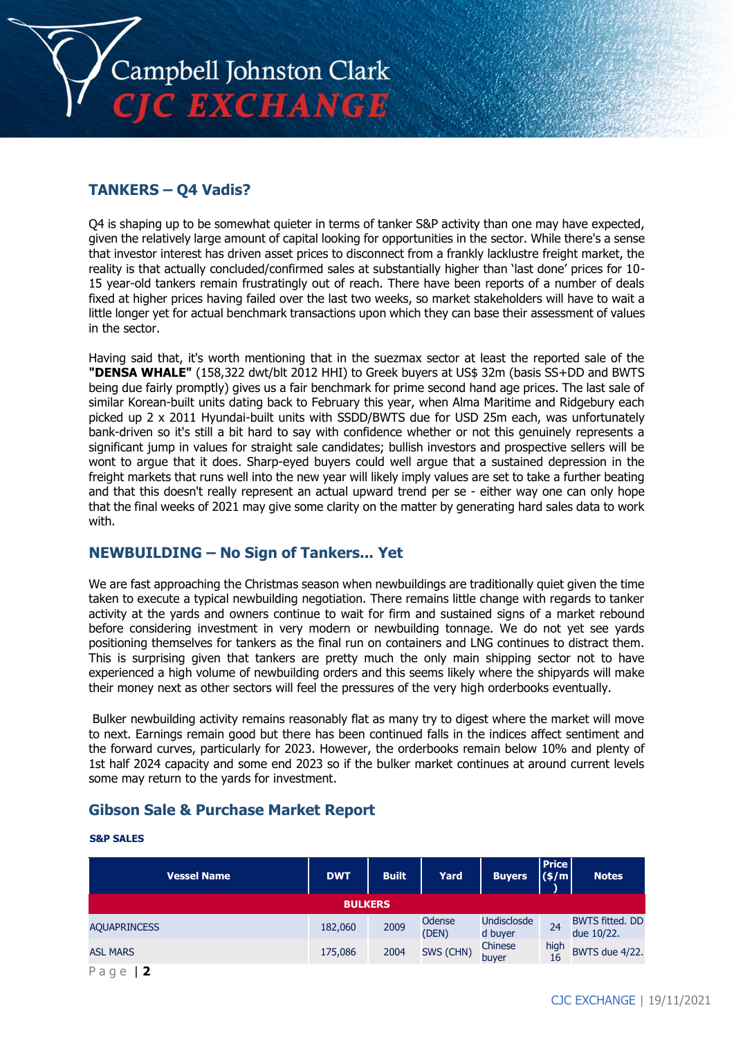

## **TANKERS – Q4 Vadis?**

Q4 is shaping up to be somewhat quieter in terms of tanker S&P activity than one may have expected, given the relatively large amount of capital looking for opportunities in the sector. While there's a sense that investor interest has driven asset prices to disconnect from a frankly lacklustre freight market, the reality is that actually concluded/confirmed sales at substantially higher than 'last done' prices for 10- 15 year-old tankers remain frustratingly out of reach. There have been reports of a number of deals fixed at higher prices having failed over the last two weeks, so market stakeholders will have to wait a little longer yet for actual benchmark transactions upon which they can base their assessment of values in the sector.

Having said that, it's worth mentioning that in the suezmax sector at least the reported sale of the **"DENSA WHALE"** (158,322 dwt/blt 2012 HHI) to Greek buyers at US\$ 32m (basis SS+DD and BWTS being due fairly promptly) gives us a fair benchmark for prime second hand age prices. The last sale of similar Korean-built units dating back to February this year, when Alma Maritime and Ridgebury each picked up 2 x 2011 Hyundai-built units with SSDD/BWTS due for USD 25m each, was unfortunately bank-driven so it's still a bit hard to say with confidence whether or not this genuinely represents a significant jump in values for straight sale candidates; bullish investors and prospective sellers will be wont to argue that it does. Sharp-eyed buyers could well argue that a sustained depression in the freight markets that runs well into the new year will likely imply values are set to take a further beating and that this doesn't really represent an actual upward trend per se - either way one can only hope that the final weeks of 2021 may give some clarity on the matter by generating hard sales data to work with.

## **NEWBUILDING – No Sign of Tankers... Yet**

We are fast approaching the Christmas season when newbuildings are traditionally quiet given the time taken to execute a typical newbuilding negotiation. There remains little change with regards to tanker activity at the yards and owners continue to wait for firm and sustained signs of a market rebound before considering investment in very modern or newbuilding tonnage. We do not yet see yards positioning themselves for tankers as the final run on containers and LNG continues to distract them. This is surprising given that tankers are pretty much the only main shipping sector not to have experienced a high volume of newbuilding orders and this seems likely where the shipyards will make their money next as other sectors will feel the pressures of the very high orderbooks eventually.

Bulker newbuilding activity remains reasonably flat as many try to digest where the market will move to next. Earnings remain good but there has been continued falls in the indices affect sentiment and the forward curves, particularly for 2023. However, the orderbooks remain below 10% and plenty of 1st half 2024 capacity and some end 2023 so if the bulker market continues at around current levels some may return to the yards for investment.

## **Gibson Sale & Purchase Market Report**

#### **S&P SALES**

| <b>Vessel Name</b>  | <b>DWT</b> | <b>Built</b> | Yard                   | <b>Buyers</b>          | <b>Price</b><br>$(\$/m)$ | <b>Notes</b>                         |  |  |
|---------------------|------------|--------------|------------------------|------------------------|--------------------------|--------------------------------------|--|--|
| <b>BULKERS</b>      |            |              |                        |                        |                          |                                      |  |  |
| <b>AQUAPRINCESS</b> | 182,060    | 2009         | <b>Odense</b><br>(DEN) | Undisclosde<br>d buyer | 24                       | <b>BWTS fitted. DD</b><br>due 10/22. |  |  |
| <b>ASL MARS</b>     | 175,086    | 2004         | SWS (CHN)              | Chinese<br>buyer       | high<br>16               | BWTS due 4/22.                       |  |  |
| Page                |            |              |                        |                        |                          |                                      |  |  |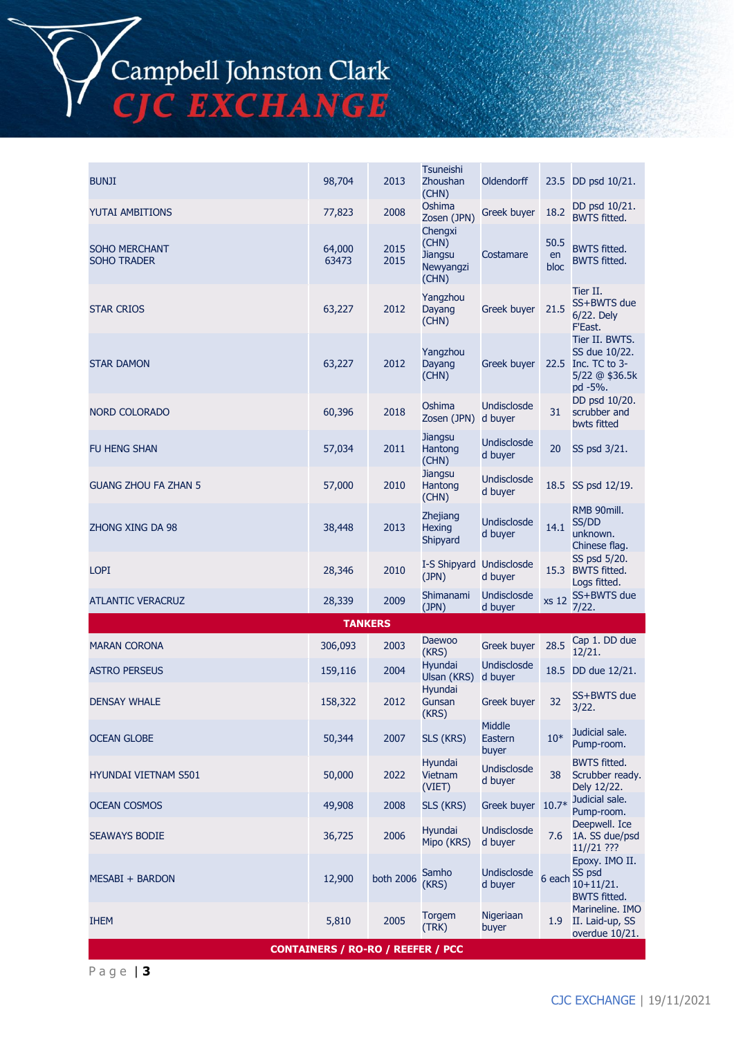

P a g e | **3**

| <b>CONTAINERS / RO-RO / REEFER / PCC</b> |  |  |
|------------------------------------------|--|--|
|                                          |  |  |

| <b>BUNJI</b>                               | 98,704          | 2013         | <b>Tsuneishi</b><br>Zhoushan<br>(CHN)                    | Oldendorff                    |                    | 23.5 DD psd 10/21.                                                                 |
|--------------------------------------------|-----------------|--------------|----------------------------------------------------------|-------------------------------|--------------------|------------------------------------------------------------------------------------|
| <b>YUTAI AMBITIONS</b>                     | 77,823          | 2008         | Oshima<br>Zosen (JPN)                                    | <b>Greek buyer</b>            | 18.2               | DD psd 10/21.<br><b>BWTS fitted.</b>                                               |
| <b>SOHO MERCHANT</b><br><b>SOHO TRADER</b> | 64,000<br>63473 | 2015<br>2015 | Chengxi<br>(CHN)<br><b>Jiangsu</b><br>Newyangzi<br>(CHN) | Costamare                     | 50.5<br>en<br>bloc | <b>BWTS fitted.</b><br><b>BWTS fitted.</b>                                         |
| <b>STAR CRIOS</b>                          | 63,227          | 2012         | Yangzhou<br>Dayang<br>(CHN)                              | Greek buyer                   | 21.5               | Tier II.<br>SS+BWTS due<br>6/22. Dely<br>F'East.                                   |
| <b>STAR DAMON</b>                          | 63,227          | 2012         | Yangzhou<br>Dayang<br>(CHN)                              | <b>Greek buyer</b>            |                    | Tier II. BWTS.<br>SS due 10/22.<br>22.5 Inc. TC to 3-<br>5/22 @ \$36.5k<br>pd -5%. |
| <b>NORD COLORADO</b>                       | 60,396          | 2018         | Oshima<br>Zosen (JPN)                                    | Undisclosde<br>d buyer        | 31                 | DD psd 10/20.<br>scrubber and<br>bwts fitted                                       |
| <b>FU HENG SHAN</b>                        | 57,034          | 2011         | Jiangsu<br>Hantong<br>(CHN)                              | Undisclosde<br>d buyer        | 20                 | SS psd 3/21.                                                                       |
| <b>GUANG ZHOU FA ZHAN 5</b>                | 57,000          | 2010         | Jiangsu<br>Hantong<br>(CHN)                              | Undisclosde<br>d buyer        |                    | 18.5 SS psd 12/19.                                                                 |
| ZHONG XING DA 98                           | 38,448          | 2013         | Zhejiang<br><b>Hexing</b><br>Shipyard                    | Undisclosde<br>d buyer        | 14.1               | RMB 90mill.<br>SS/DD<br>unknown.<br>Chinese flag.                                  |
| <b>LOPI</b>                                | 28,346          | 2010         | I-S Shipyard Undisclosde<br>(JPN)                        | d buyer                       |                    | SS psd 5/20.<br>15.3 BWTS fitted.<br>Logs fitted.                                  |
| <b>ATLANTIC VERACRUZ</b>                   | 28,339          | 2009         | Shimanami<br>(JPN)                                       | Undisclosde<br>d buyer        | xs 12              | SS+BWTS due<br>7/22.                                                               |
|                                            | <b>TANKERS</b>  |              |                                                          |                               |                    |                                                                                    |
| <b>MARAN CORONA</b>                        | 306,093         | 2003         | Daewoo<br>(KRS)                                          | <b>Greek buyer</b>            | 28.5               | Cap 1. DD due<br>12/21.                                                            |
| <b>ASTRO PERSEUS</b>                       | 159,116         | 2004         | Hyundai<br>Ulsan (KRS)                                   | Undisclosde<br>d buyer        |                    | 18.5 DD due 12/21.                                                                 |
| <b>DENSAY WHALE</b>                        | 158,322         | 2012         | <b>Hvundai</b><br>Gunsan<br>(KRS)                        | Greek buyer                   | 32 <sub>2</sub>    | SS+BWTS due<br>3/22.                                                               |
| <b>OCEAN GLOBE</b>                         | 50,344          | 2007         | SLS (KRS)                                                | Middle<br>Eastern<br>buyer    | $10*$              | Judicial sale.<br>Pump-room.                                                       |
| <b>HYUNDAI VIETNAM S501</b>                | 50,000          | 2022         | Hyundai<br>Vietnam<br>(VIET)                             | <b>Undisclosde</b><br>d buyer | 38                 | <b>BWTS fitted.</b><br>Scrubber ready.<br>Dely 12/22.                              |
| <b>OCEAN COSMOS</b>                        | 49,908          | 2008         | SLS (KRS)                                                | Greek buyer                   | $10.7*$            | Judicial sale.<br>Pump-room.                                                       |
| <b>SEAWAYS BODIE</b>                       | 36,725          | 2006         | Hyundai<br>Mipo (KRS)                                    | Undisclosde<br>d buyer        | 7.6                | Deepwell. Ice<br>1A. SS due/psd<br>11//21 ???                                      |
| MESABI + BARDON                            | 12,900          | both 2006    | Samho<br>(KRS)                                           | <b>Undisclosde</b><br>d buyer | 6 each             | Epoxy. IMO II.<br>SS psd<br>$10+11/21.$<br><b>BWTS fitted.</b>                     |
| <b>IHEM</b>                                | 5,810           | 2005         | <b>Torgem</b><br>(TRK)                                   | Nigeriaan<br>buyer            | 1.9 <sub>1</sub>   | Marineline. IMO<br>II. Laid-up, SS<br>overdue 10/21.                               |

Campbell Johnston Clark<br>CJC EXCHANGE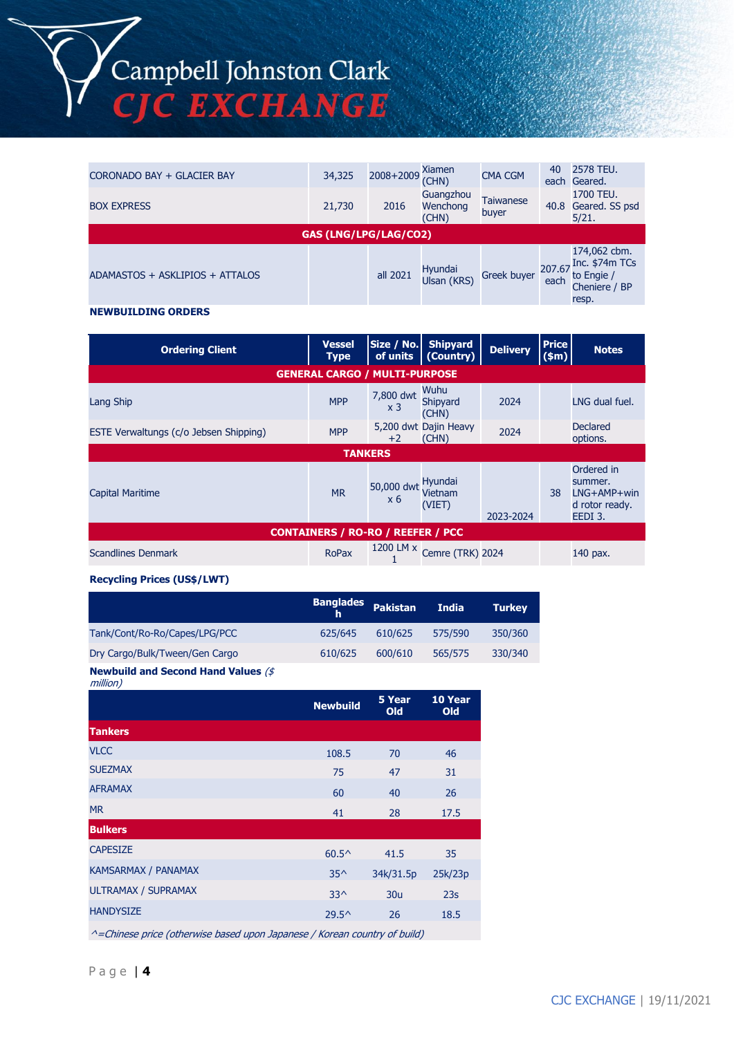Campbell Johnston Clark<br>CJC EXCHANGE

| CORONADO BAY + GLACIER BAY      | 34,325 | 2008+2009 | Xiamen<br>(CHN)                | <b>CMA CGM</b>            | 40             | 2578 TEU.<br>each Geared.                                              |  |
|---------------------------------|--------|-----------|--------------------------------|---------------------------|----------------|------------------------------------------------------------------------|--|
| <b>BOX EXPRESS</b>              | 21,730 | 2016      | Guangzhou<br>Wenchong<br>(CHN) | <b>Taiwanese</b><br>buyer |                | 1700 TEU.<br>40.8 Geared. SS psd<br>5/21.                              |  |
| <b>GAS (LNG/LPG/LAG/CO2)</b>    |        |           |                                |                           |                |                                                                        |  |
| ADAMASTOS + ASKLIPIOS + ATTALOS |        | all 2021  | Hyundai<br>Ulsan (KRS)         | <b>Greek buyer</b>        | 207.67<br>each | 174,062 cbm.<br>Inc. \$74m TCs<br>to Engie /<br>Cheniere / BP<br>resp. |  |

#### **NEWBUILDING ORDERS**

| <b>Ordering Client</b>                   | <b>Vessel</b><br><b>Type</b> | Size / No.<br>of units      | <b>Shipyard</b><br>Country)    | <b>Delivery</b> | <b>Price</b><br>\$m\$ | <b>Notes</b>                                                        |  |  |
|------------------------------------------|------------------------------|-----------------------------|--------------------------------|-----------------|-----------------------|---------------------------------------------------------------------|--|--|
| <b>GENERAL CARGO / MULTI-PURPOSE</b>     |                              |                             |                                |                 |                       |                                                                     |  |  |
| Lang Ship                                | <b>MPP</b>                   | 7,800 dwt<br>x <sub>3</sub> | Wuhu<br>Shipyard<br>(CHN)      | 2024            |                       | LNG dual fuel.                                                      |  |  |
| ESTE Verwaltungs (c/o Jebsen Shipping)   | <b>MPP</b>                   | $+2$                        | 5,200 dwt Dajin Heavy<br>(CHN) | 2024            |                       | Declared<br>options.                                                |  |  |
| <b>TANKERS</b>                           |                              |                             |                                |                 |                       |                                                                     |  |  |
| <b>Capital Maritime</b>                  | <b>MR</b>                    | 50,000 dwt<br>$\times 6$    | Hyundai<br>Vietnam<br>(VIET)   | 2023-2024       | 38                    | Ordered in<br>summer.<br>$LNG+AMP+win$<br>d rotor ready.<br>EEDI 3. |  |  |
| <b>CONTAINERS / RO-RO / REEFER / PCC</b> |                              |                             |                                |                 |                       |                                                                     |  |  |
| <b>Scandlines Denmark</b>                | <b>RoPax</b>                 | 1200 LM x                   | Cemre (TRK) 2024               |                 |                       | 140 pax.                                                            |  |  |

#### **Recycling Prices (US\$/LWT)**

|                                                  | <b>Banglades</b><br>h | Pakistan | <b>India</b> | <b>Turkey</b> |
|--------------------------------------------------|-----------------------|----------|--------------|---------------|
| Tank/Cont/Ro-Ro/Capes/LPG/PCC                    | 625/645               | 610/625  | 575/590      | 350/360       |
| Dry Cargo/Bulk/Tween/Gen Cargo                   | 610/625               | 600/610  | 565/575      | 330/340       |
| Attaccelerated and Oranges different Materials W |                       |          |              |               |

#### **Newbuild and Second Hand Values** (\$ million)

| 1111110117                 |                 |                 |                |
|----------------------------|-----------------|-----------------|----------------|
|                            | <b>Newbuild</b> | 5 Year<br>Old   | 10 Year<br>Old |
| <b>Tankers</b>             |                 |                 |                |
| <b>VLCC</b>                | 108.5           | 70              | 46             |
| <b>SUEZMAX</b>             | 75              | 47              | 31             |
| <b>AFRAMAX</b>             | 60              | 40              | 26             |
| <b>MR</b>                  | 41              | 28              | 17.5           |
| <b>Bulkers</b>             |                 |                 |                |
| <b>CAPESIZE</b>            | $60.5^{\circ}$  | 41.5            | 35             |
| <b>KAMSARMAX / PANAMAX</b> | $35^{\wedge}$   | 34k/31.5p       | 25k/23p        |
| <b>ULTRAMAX / SUPRAMAX</b> | $33^$           | 30 <sub>u</sub> | 23s            |
| <b>HANDYSIZE</b>           | $29.5^{\circ}$  | 26              | 18.5           |
|                            |                 |                 |                |

^=Chinese price (otherwise based upon Japanese / Korean country of build)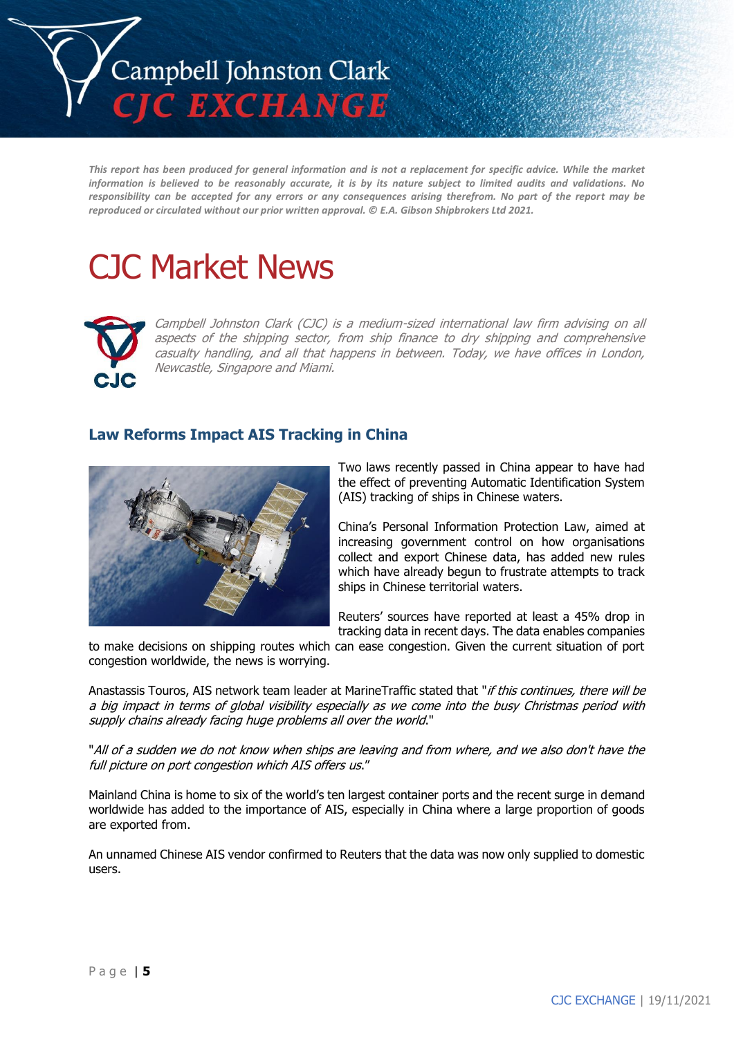

*This report has been produced for general information and is not a replacement for specific advice. While the market information is believed to be reasonably accurate, it is by its nature subject to limited audits and validations. No responsibility can be accepted for any errors or any consequences arising therefrom. No part of the report may be reproduced or circulated without our prior written approval. © E.A. Gibson Shipbrokers Ltd 2021.*

# CJC Market News



Campbell Johnston Clark (CJC) is a medium-sized international law firm advising on all aspects of the shipping sector, from ship finance to dry shipping and comprehensive casualty handling, and all that happens in between. Today, we have offices in London, Newcastle, Singapore and Miami.

## **Law Reforms Impact AIS Tracking in China**



Two laws recently passed in China appear to have had the effect of preventing Automatic Identification System (AIS) tracking of ships in Chinese waters.

China's Personal Information Protection Law, aimed at increasing government control on how organisations collect and export Chinese data, has added new rules which have already begun to frustrate attempts to track ships in Chinese territorial waters.

Reuters' sources have reported at least a 45% drop in tracking data in recent days. The data enables companies

to make decisions on shipping routes which can ease congestion. Given the current situation of port congestion worldwide, the news is worrying.

Anastassis Touros, AIS network team leader at MarineTraffic stated that "if this continues, there will be a big impact in terms of global visibility especially as we come into the busy Christmas period with supply chains already facing huge problems all over the world."

"All of a sudden we do not know when ships are leaving and from where, and we also don't have the full picture on port congestion which AIS offers us."

Mainland China is home to six of the world's ten largest container ports and the recent surge in demand worldwide has added to the importance of AIS, especially in China where a large proportion of goods are exported from.

An unnamed Chinese AIS vendor confirmed to Reuters that the data was now only supplied to domestic users.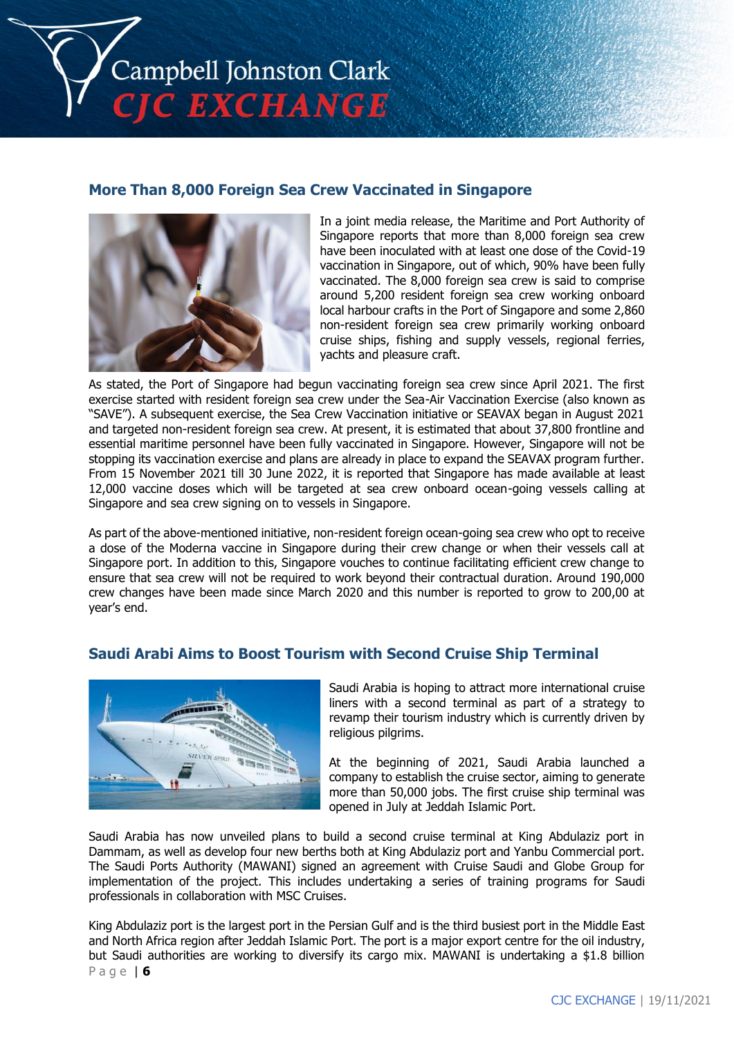

## **More Than 8,000 Foreign Sea Crew Vaccinated in Singapore**



In a joint media release, the Maritime and Port Authority of Singapore reports that more than 8,000 foreign sea crew have been inoculated with at least one dose of the Covid-19 vaccination in Singapore, out of which, 90% have been fully vaccinated. The 8,000 foreign sea crew is said to comprise around 5,200 resident foreign sea crew working onboard local harbour crafts in the Port of Singapore and some 2,860 non-resident foreign sea crew primarily working onboard cruise ships, fishing and supply vessels, regional ferries, yachts and pleasure craft.

As stated, the Port of Singapore had begun vaccinating foreign sea crew since April 2021. The first exercise started with resident foreign sea crew under the Sea-Air Vaccination Exercise (also known as "SAVE"). A subsequent exercise, the Sea Crew Vaccination initiative or SEAVAX began in August 2021 and targeted non-resident foreign sea crew. At present, it is estimated that about 37,800 frontline and essential maritime personnel have been fully vaccinated in Singapore. However, Singapore will not be stopping its vaccination exercise and plans are already in place to expand the SEAVAX program further. From 15 November 2021 till 30 June 2022, it is reported that Singapore has made available at least 12,000 vaccine doses which will be targeted at sea crew onboard ocean-going vessels calling at Singapore and sea crew signing on to vessels in Singapore.

As part of the above-mentioned initiative, non-resident foreign ocean-going sea crew who opt to receive a dose of the Moderna vaccine in Singapore during their crew change or when their vessels call at Singapore port. In addition to this, Singapore vouches to continue facilitating efficient crew change to ensure that sea crew will not be required to work beyond their contractual duration. Around 190,000 crew changes have been made since March 2020 and this number is reported to grow to 200,00 at year's end.

## **Saudi Arabi Aims to Boost Tourism with Second Cruise Ship Terminal**



Saudi Arabia is hoping to attract more international cruise liners with a second terminal as part of a strategy to revamp their tourism industry which is currently driven by religious pilgrims.

At the beginning of 2021, Saudi Arabia launched a company to establish the cruise sector, aiming to generate more than 50,000 jobs. The first cruise ship terminal was opened in July at Jeddah Islamic Port.

Saudi Arabia has now unveiled plans to build a second cruise terminal at King Abdulaziz port in Dammam, as well as develop four new berths both at King Abdulaziz port and Yanbu Commercial port. The Saudi Ports Authority (MAWANI) signed an agreement with Cruise Saudi and Globe Group for implementation of the project. This includes undertaking a series of training programs for Saudi professionals in collaboration with MSC Cruises.

P a g e | **6** King Abdulaziz port is the largest port in the Persian Gulf and is the third busiest port in the Middle East and North Africa region after Jeddah Islamic Port. The port is a major export centre for the oil industry, but Saudi authorities are working to diversify its cargo mix. MAWANI is undertaking a \$1.8 billion